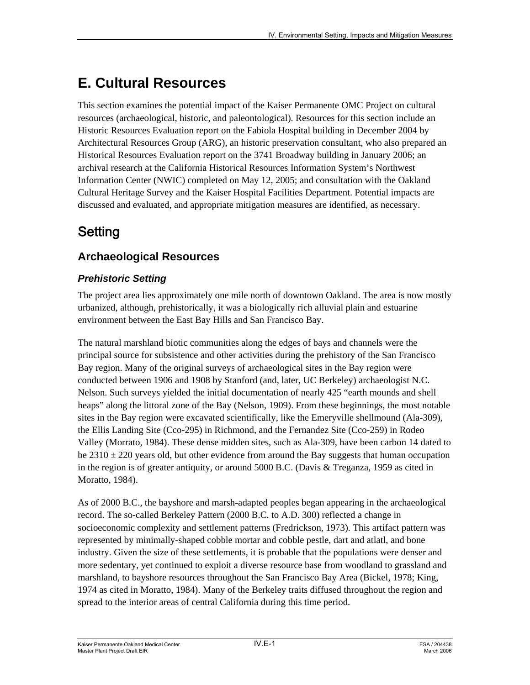# **E. Cultural Resources**

This section examines the potential impact of the Kaiser Permanente OMC Project on cultural resources (archaeological, historic, and paleontological). Resources for this section include an Historic Resources Evaluation report on the Fabiola Hospital building in December 2004 by Architectural Resources Group (ARG), an historic preservation consultant, who also prepared an Historical Resources Evaluation report on the 3741 Broadway building in January 2006; an archival research at the California Historical Resources Information System's Northwest Information Center (NWIC) completed on May 12, 2005; and consultation with the Oakland Cultural Heritage Survey and the Kaiser Hospital Facilities Department. Potential impacts are discussed and evaluated, and appropriate mitigation measures are identified, as necessary.

# Setting

# **Archaeological Resources**

# *Prehistoric Setting*

The project area lies approximately one mile north of downtown Oakland. The area is now mostly urbanized, although, prehistorically, it was a biologically rich alluvial plain and estuarine environment between the East Bay Hills and San Francisco Bay.

The natural marshland biotic communities along the edges of bays and channels were the principal source for subsistence and other activities during the prehistory of the San Francisco Bay region. Many of the original surveys of archaeological sites in the Bay region were conducted between 1906 and 1908 by Stanford (and, later, UC Berkeley) archaeologist N.C. Nelson. Such surveys yielded the initial documentation of nearly 425 "earth mounds and shell heaps" along the littoral zone of the Bay (Nelson, 1909). From these beginnings, the most notable sites in the Bay region were excavated scientifically, like the Emeryville shellmound (Ala-309), the Ellis Landing Site (Cco-295) in Richmond, and the Fernandez Site (Cco-259) in Rodeo Valley (Morrato, 1984). These dense midden sites, such as Ala-309, have been carbon 14 dated to be  $2310 \pm 220$  years old, but other evidence from around the Bay suggests that human occupation in the region is of greater antiquity, or around 5000 B.C. (Davis & Treganza, 1959 as cited in Moratto, 1984).

As of 2000 B.C., the bayshore and marsh-adapted peoples began appearing in the archaeological record. The so-called Berkeley Pattern (2000 B.C. to A.D. 300) reflected a change in socioeconomic complexity and settlement patterns (Fredrickson, 1973). This artifact pattern was represented by minimally-shaped cobble mortar and cobble pestle, dart and atlatl, and bone industry. Given the size of these settlements, it is probable that the populations were denser and more sedentary, yet continued to exploit a diverse resource base from woodland to grassland and marshland, to bayshore resources throughout the San Francisco Bay Area (Bickel, 1978; King, 1974 as cited in Moratto, 1984). Many of the Berkeley traits diffused throughout the region and spread to the interior areas of central California during this time period.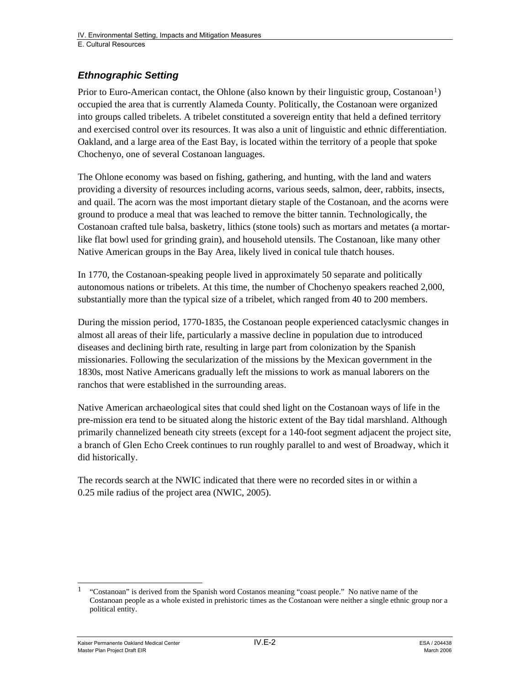# *Ethnographic Setting*

Prior to Euro-American contact, the Ohlone (also known by their linguistic group, Costanoan<sup>[1](#page-1-0)</sup>) occupied the area that is currently Alameda County. Politically, the Costanoan were organized into groups called tribelets. A tribelet constituted a sovereign entity that held a defined territory and exercised control over its resources. It was also a unit of linguistic and ethnic differentiation. Oakland, and a large area of the East Bay, is located within the territory of a people that spoke Chochenyo, one of several Costanoan languages.

The Ohlone economy was based on fishing, gathering, and hunting, with the land and waters providing a diversity of resources including acorns, various seeds, salmon, deer, rabbits, insects, and quail. The acorn was the most important dietary staple of the Costanoan, and the acorns were ground to produce a meal that was leached to remove the bitter tannin. Technologically, the Costanoan crafted tule balsa, basketry, lithics (stone tools) such as mortars and metates (a mortarlike flat bowl used for grinding grain), and household utensils. The Costanoan, like many other Native American groups in the Bay Area, likely lived in conical tule thatch houses.

In 1770, the Costanoan-speaking people lived in approximately 50 separate and politically autonomous nations or tribelets. At this time, the number of Chochenyo speakers reached 2,000, substantially more than the typical size of a tribelet, which ranged from 40 to 200 members.

During the mission period, 1770-1835, the Costanoan people experienced cataclysmic changes in almost all areas of their life, particularly a massive decline in population due to introduced diseases and declining birth rate, resulting in large part from colonization by the Spanish missionaries. Following the secularization of the missions by the Mexican government in the 1830s, most Native Americans gradually left the missions to work as manual laborers on the ranchos that were established in the surrounding areas.

Native American archaeological sites that could shed light on the Costanoan ways of life in the pre-mission era tend to be situated along the historic extent of the Bay tidal marshland. Although primarily channelized beneath city streets (except for a 140-foot segment adjacent the project site, a branch of Glen Echo Creek continues to run roughly parallel to and west of Broadway, which it did historically.

The records search at the NWIC indicated that there were no recorded sites in or within a 0.25 mile radius of the project area (NWIC, 2005).

<span id="page-1-0"></span> $\overline{\phantom{a}}$ 1 "Costanoan" is derived from the Spanish word Costanos meaning "coast people." No native name of the Costanoan people as a whole existed in prehistoric times as the Costanoan were neither a single ethnic group nor a political entity.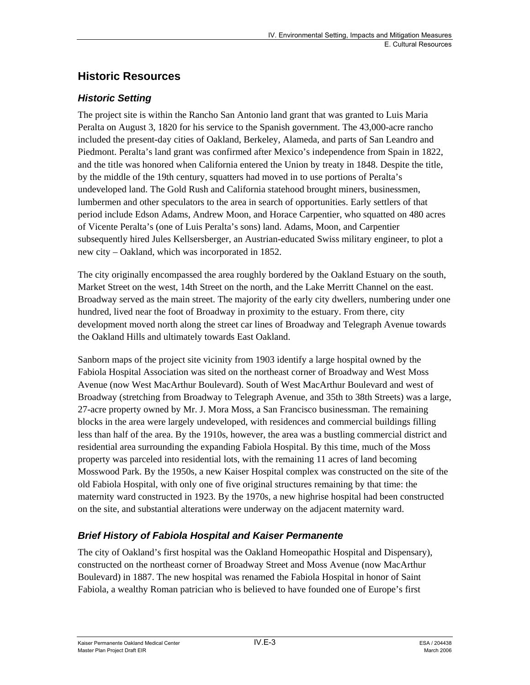# **Historic Resources**

### *Historic Setting*

The project site is within the Rancho San Antonio land grant that was granted to Luis Maria Peralta on August 3, 1820 for his service to the Spanish government. The 43,000-acre rancho included the present-day cities of Oakland, Berkeley, Alameda, and parts of San Leandro and Piedmont. Peralta's land grant was confirmed after Mexico's independence from Spain in 1822, and the title was honored when California entered the Union by treaty in 1848. Despite the title, by the middle of the 19th century, squatters had moved in to use portions of Peralta's undeveloped land. The Gold Rush and California statehood brought miners, businessmen, lumbermen and other speculators to the area in search of opportunities. Early settlers of that period include Edson Adams, Andrew Moon, and Horace Carpentier, who squatted on 480 acres of Vicente Peralta's (one of Luis Peralta's sons) land. Adams, Moon, and Carpentier subsequently hired Jules Kellsersberger, an Austrian-educated Swiss military engineer, to plot a new city – Oakland, which was incorporated in 1852.

The city originally encompassed the area roughly bordered by the Oakland Estuary on the south, Market Street on the west, 14th Street on the north, and the Lake Merritt Channel on the east. Broadway served as the main street. The majority of the early city dwellers, numbering under one hundred, lived near the foot of Broadway in proximity to the estuary. From there, city development moved north along the street car lines of Broadway and Telegraph Avenue towards the Oakland Hills and ultimately towards East Oakland.

Sanborn maps of the project site vicinity from 1903 identify a large hospital owned by the Fabiola Hospital Association was sited on the northeast corner of Broadway and West Moss Avenue (now West MacArthur Boulevard). South of West MacArthur Boulevard and west of Broadway (stretching from Broadway to Telegraph Avenue, and 35th to 38th Streets) was a large, 27-acre property owned by Mr. J. Mora Moss, a San Francisco businessman. The remaining blocks in the area were largely undeveloped, with residences and commercial buildings filling less than half of the area. By the 1910s, however, the area was a bustling commercial district and residential area surrounding the expanding Fabiola Hospital. By this time, much of the Moss property was parceled into residential lots, with the remaining 11 acres of land becoming Mosswood Park. By the 1950s, a new Kaiser Hospital complex was constructed on the site of the old Fabiola Hospital, with only one of five original structures remaining by that time: the maternity ward constructed in 1923. By the 1970s, a new highrise hospital had been constructed on the site, and substantial alterations were underway on the adjacent maternity ward.

## *Brief History of Fabiola Hospital and Kaiser Permanente*

The city of Oakland's first hospital was the Oakland Homeopathic Hospital and Dispensary), constructed on the northeast corner of Broadway Street and Moss Avenue (now MacArthur Boulevard) in 1887. The new hospital was renamed the Fabiola Hospital in honor of Saint Fabiola, a wealthy Roman patrician who is believed to have founded one of Europe's first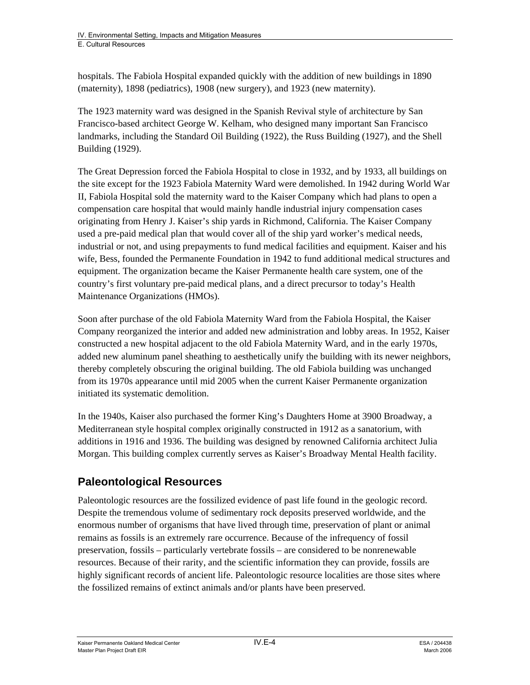hospitals. The Fabiola Hospital expanded quickly with the addition of new buildings in 1890 (maternity), 1898 (pediatrics), 1908 (new surgery), and 1923 (new maternity).

The 1923 maternity ward was designed in the Spanish Revival style of architecture by San Francisco-based architect George W. Kelham, who designed many important San Francisco landmarks, including the Standard Oil Building (1922), the Russ Building (1927), and the Shell Building (1929).

The Great Depression forced the Fabiola Hospital to close in 1932, and by 1933, all buildings on the site except for the 1923 Fabiola Maternity Ward were demolished. In 1942 during World War II, Fabiola Hospital sold the maternity ward to the Kaiser Company which had plans to open a compensation care hospital that would mainly handle industrial injury compensation cases originating from Henry J. Kaiser's ship yards in Richmond, California. The Kaiser Company used a pre-paid medical plan that would cover all of the ship yard worker's medical needs, industrial or not, and using prepayments to fund medical facilities and equipment. Kaiser and his wife, Bess, founded the Permanente Foundation in 1942 to fund additional medical structures and equipment. The organization became the Kaiser Permanente health care system, one of the country's first voluntary pre-paid medical plans, and a direct precursor to today's Health Maintenance Organizations (HMOs).

Soon after purchase of the old Fabiola Maternity Ward from the Fabiola Hospital, the Kaiser Company reorganized the interior and added new administration and lobby areas. In 1952, Kaiser constructed a new hospital adjacent to the old Fabiola Maternity Ward, and in the early 1970s, added new aluminum panel sheathing to aesthetically unify the building with its newer neighbors, thereby completely obscuring the original building. The old Fabiola building was unchanged from its 1970s appearance until mid 2005 when the current Kaiser Permanente organization initiated its systematic demolition.

In the 1940s, Kaiser also purchased the former King's Daughters Home at 3900 Broadway, a Mediterranean style hospital complex originally constructed in 1912 as a sanatorium, with additions in 1916 and 1936. The building was designed by renowned California architect Julia Morgan. This building complex currently serves as Kaiser's Broadway Mental Health facility.

# **Paleontological Resources**

Paleontologic resources are the fossilized evidence of past life found in the geologic record. Despite the tremendous volume of sedimentary rock deposits preserved worldwide, and the enormous number of organisms that have lived through time, preservation of plant or animal remains as fossils is an extremely rare occurrence. Because of the infrequency of fossil preservation, fossils – particularly vertebrate fossils – are considered to be nonrenewable resources. Because of their rarity, and the scientific information they can provide, fossils are highly significant records of ancient life. Paleontologic resource localities are those sites where the fossilized remains of extinct animals and/or plants have been preserved.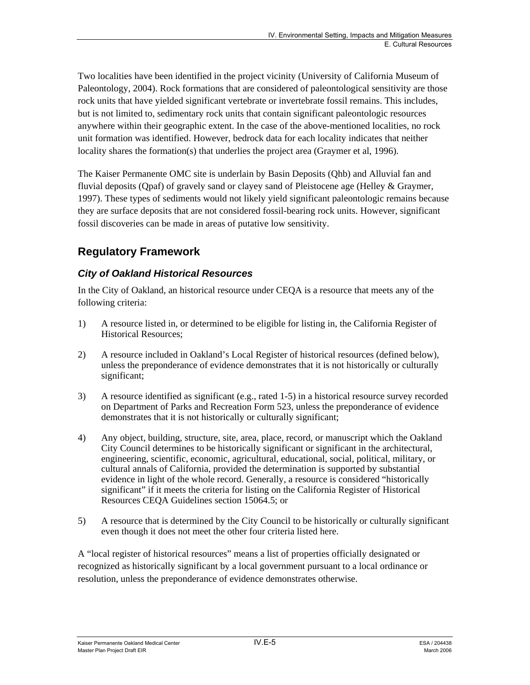Two localities have been identified in the project vicinity (University of California Museum of Paleontology, 2004). Rock formations that are considered of paleontological sensitivity are those rock units that have yielded significant vertebrate or invertebrate fossil remains. This includes, but is not limited to, sedimentary rock units that contain significant paleontologic resources anywhere within their geographic extent. In the case of the above-mentioned localities, no rock unit formation was identified. However, bedrock data for each locality indicates that neither locality shares the formation(s) that underlies the project area (Graymer et al, 1996).

The Kaiser Permanente OMC site is underlain by Basin Deposits (Qhb) and Alluvial fan and fluvial deposits (Qpaf) of gravely sand or clayey sand of Pleistocene age (Helley & Graymer, 1997). These types of sediments would not likely yield significant paleontologic remains because they are surface deposits that are not considered fossil-bearing rock units. However, significant fossil discoveries can be made in areas of putative low sensitivity.

# **Regulatory Framework**

# *City of Oakland Historical Resources*

In the City of Oakland, an historical resource under CEQA is a resource that meets any of the following criteria:

- 1) A resource listed in, or determined to be eligible for listing in, the California Register of Historical Resources;
- 2) A resource included in Oakland's Local Register of historical resources (defined below), unless the preponderance of evidence demonstrates that it is not historically or culturally significant;
- 3) A resource identified as significant (e.g., rated 1-5) in a historical resource survey recorded on Department of Parks and Recreation Form 523, unless the preponderance of evidence demonstrates that it is not historically or culturally significant;
- 4) Any object, building, structure, site, area, place, record, or manuscript which the Oakland City Council determines to be historically significant or significant in the architectural, engineering, scientific, economic, agricultural, educational, social, political, military, or cultural annals of California, provided the determination is supported by substantial evidence in light of the whole record. Generally, a resource is considered "historically significant" if it meets the criteria for listing on the California Register of Historical Resources CEQA Guidelines section 15064.5; or
- 5) A resource that is determined by the City Council to be historically or culturally significant even though it does not meet the other four criteria listed here.

A "local register of historical resources" means a list of properties officially designated or recognized as historically significant by a local government pursuant to a local ordinance or resolution, unless the preponderance of evidence demonstrates otherwise.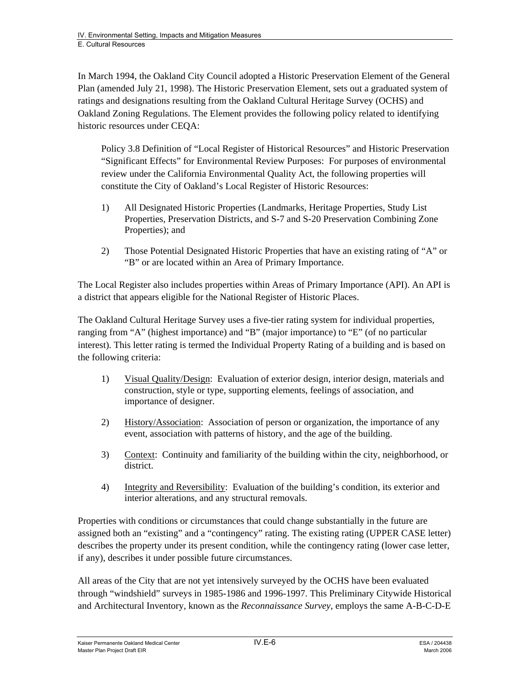In March 1994, the Oakland City Council adopted a Historic Preservation Element of the General Plan (amended July 21, 1998). The Historic Preservation Element, sets out a graduated system of ratings and designations resulting from the Oakland Cultural Heritage Survey (OCHS) and Oakland Zoning Regulations. The Element provides the following policy related to identifying historic resources under CEQA:

Policy 3.8 Definition of "Local Register of Historical Resources" and Historic Preservation "Significant Effects" for Environmental Review Purposes: For purposes of environmental review under the California Environmental Quality Act, the following properties will constitute the City of Oakland's Local Register of Historic Resources:

- 1) All Designated Historic Properties (Landmarks, Heritage Properties, Study List Properties, Preservation Districts, and S-7 and S-20 Preservation Combining Zone Properties); and
- 2) Those Potential Designated Historic Properties that have an existing rating of "A" or "B" or are located within an Area of Primary Importance.

The Local Register also includes properties within Areas of Primary Importance (API). An API is a district that appears eligible for the National Register of Historic Places.

The Oakland Cultural Heritage Survey uses a five-tier rating system for individual properties, ranging from "A" (highest importance) and "B" (major importance) to "E" (of no particular interest). This letter rating is termed the Individual Property Rating of a building and is based on the following criteria:

- 1) Visual Quality/Design: Evaluation of exterior design, interior design, materials and construction, style or type, supporting elements, feelings of association, and importance of designer.
- 2) History/Association: Association of person or organization, the importance of any event, association with patterns of history, and the age of the building.
- 3) Context: Continuity and familiarity of the building within the city, neighborhood, or district.
- 4) Integrity and Reversibility: Evaluation of the building's condition, its exterior and interior alterations, and any structural removals.

Properties with conditions or circumstances that could change substantially in the future are assigned both an "existing" and a "contingency" rating. The existing rating (UPPER CASE letter) describes the property under its present condition, while the contingency rating (lower case letter, if any), describes it under possible future circumstances.

All areas of the City that are not yet intensively surveyed by the OCHS have been evaluated through "windshield" surveys in 1985-1986 and 1996-1997. This Preliminary Citywide Historical and Architectural Inventory, known as the *Reconnaissance Survey*, employs the same A-B-C-D-E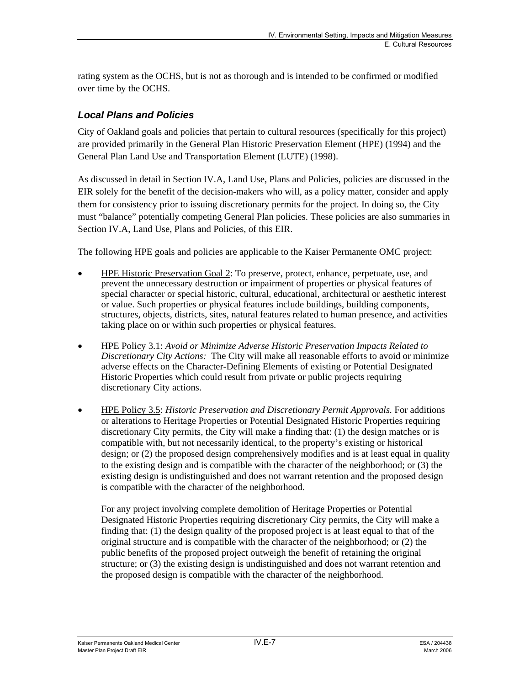rating system as the OCHS, but is not as thorough and is intended to be confirmed or modified over time by the OCHS.

# *Local Plans and Policies*

City of Oakland goals and policies that pertain to cultural resources (specifically for this project) are provided primarily in the General Plan Historic Preservation Element (HPE) (1994) and the General Plan Land Use and Transportation Element (LUTE) (1998).

As discussed in detail in Section IV.A, Land Use, Plans and Policies, policies are discussed in the EIR solely for the benefit of the decision-makers who will, as a policy matter, consider and apply them for consistency prior to issuing discretionary permits for the project. In doing so, the City must "balance" potentially competing General Plan policies. These policies are also summaries in Section IV.A, Land Use, Plans and Policies, of this EIR.

The following HPE goals and policies are applicable to the Kaiser Permanente OMC project:

- HPE Historic Preservation Goal 2: To preserve, protect, enhance, perpetuate, use, and prevent the unnecessary destruction or impairment of properties or physical features of special character or special historic, cultural, educational, architectural or aesthetic interest or value. Such properties or physical features include buildings, building components, structures, objects, districts, sites, natural features related to human presence, and activities taking place on or within such properties or physical features.
- HPE Policy 3.1: *Avoid or Minimize Adverse Historic Preservation Impacts Related to Discretionary City Actions:* The City will make all reasonable efforts to avoid or minimize adverse effects on the Character-Defining Elements of existing or Potential Designated Historic Properties which could result from private or public projects requiring discretionary City actions.
- HPE Policy 3.5: *Historic Preservation and Discretionary Permit Approvals.* For additions or alterations to Heritage Properties or Potential Designated Historic Properties requiring discretionary City permits, the City will make a finding that: (1) the design matches or is compatible with, but not necessarily identical, to the property's existing or historical design; or (2) the proposed design comprehensively modifies and is at least equal in quality to the existing design and is compatible with the character of the neighborhood; or (3) the existing design is undistinguished and does not warrant retention and the proposed design is compatible with the character of the neighborhood.

 For any project involving complete demolition of Heritage Properties or Potential Designated Historic Properties requiring discretionary City permits, the City will make a finding that: (1) the design quality of the proposed project is at least equal to that of the original structure and is compatible with the character of the neighborhood; or (2) the public benefits of the proposed project outweigh the benefit of retaining the original structure; or (3) the existing design is undistinguished and does not warrant retention and the proposed design is compatible with the character of the neighborhood.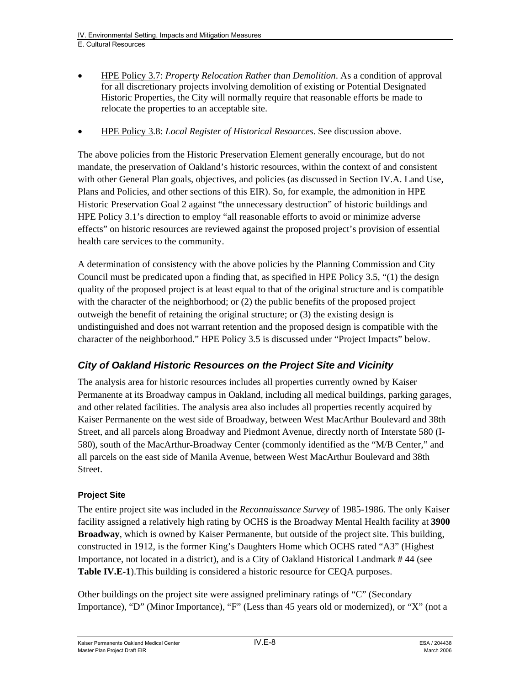- HPE Policy 3.7: *Property Relocation Rather than Demolition*. As a condition of approval for all discretionary projects involving demolition of existing or Potential Designated Historic Properties, the City will normally require that reasonable efforts be made to relocate the properties to an acceptable site.
- HPE Policy 3.8: *Local Register of Historical Resources*. See discussion above.

The above policies from the Historic Preservation Element generally encourage, but do not mandate, the preservation of Oakland's historic resources, within the context of and consistent with other General Plan goals, objectives, and policies (as discussed in Section IV.A. Land Use, Plans and Policies, and other sections of this EIR). So, for example, the admonition in HPE Historic Preservation Goal 2 against "the unnecessary destruction" of historic buildings and HPE Policy 3.1's direction to employ "all reasonable efforts to avoid or minimize adverse effects" on historic resources are reviewed against the proposed project's provision of essential health care services to the community.

A determination of consistency with the above policies by the Planning Commission and City Council must be predicated upon a finding that, as specified in HPE Policy 3.5, "(1) the design quality of the proposed project is at least equal to that of the original structure and is compatible with the character of the neighborhood; or (2) the public benefits of the proposed project outweigh the benefit of retaining the original structure; or (3) the existing design is undistinguished and does not warrant retention and the proposed design is compatible with the character of the neighborhood." HPE Policy 3.5 is discussed under "Project Impacts" below.

# *City of Oakland Historic Resources on the Project Site and Vicinity*

The analysis area for historic resources includes all properties currently owned by Kaiser Permanente at its Broadway campus in Oakland, including all medical buildings, parking garages, and other related facilities. The analysis area also includes all properties recently acquired by Kaiser Permanente on the west side of Broadway, between West MacArthur Boulevard and 38th Street, and all parcels along Broadway and Piedmont Avenue, directly north of Interstate 580 (I-580), south of the MacArthur-Broadway Center (commonly identified as the "M/B Center," and all parcels on the east side of Manila Avenue, between West MacArthur Boulevard and 38th Street.

#### **Project Site**

The entire project site was included in the *Reconnaissance Survey* of 1985-1986. The only Kaiser facility assigned a relatively high rating by OCHS is the Broadway Mental Health facility at **3900 Broadway**, which is owned by Kaiser Permanente, but outside of the project site. This building, constructed in 1912, is the former King's Daughters Home which OCHS rated "A3" (Highest Importance, not located in a district), and is a City of Oakland Historical Landmark # 44 (see **Table IV.E-1**).This building is considered a historic resource for CEQA purposes.

Other buildings on the project site were assigned preliminary ratings of "C" (Secondary Importance), "D" (Minor Importance), "F" (Less than 45 years old or modernized), or "X" (not a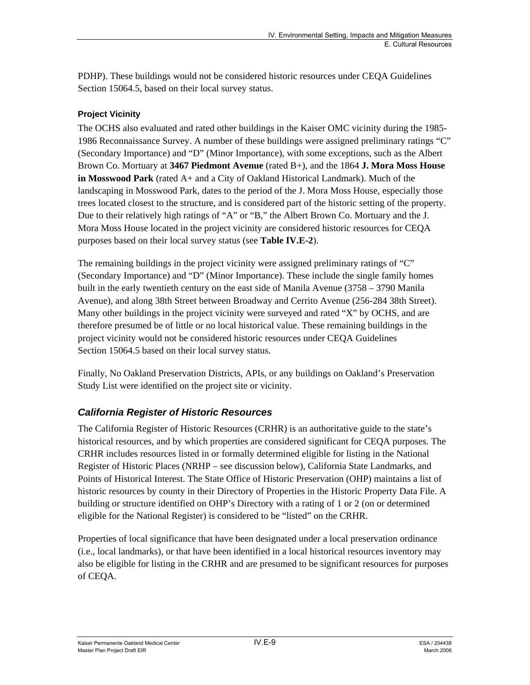PDHP). These buildings would not be considered historic resources under CEQA Guidelines Section 15064.5, based on their local survey status.

#### **Project Vicinity**

The OCHS also evaluated and rated other buildings in the Kaiser OMC vicinity during the 1985- 1986 Reconnaissance Survey. A number of these buildings were assigned preliminary ratings "C" (Secondary Importance) and "D" (Minor Importance), with some exceptions, such as the Albert Brown Co. Mortuary at **3467 Piedmont Avenue** (rated B+), and the 1864 **J. Mora Moss House in Mosswood Park** (rated A+ and a City of Oakland Historical Landmark). Much of the landscaping in Mosswood Park, dates to the period of the J. Mora Moss House, especially those trees located closest to the structure, and is considered part of the historic setting of the property. Due to their relatively high ratings of "A" or "B," the Albert Brown Co. Mortuary and the J. Mora Moss House located in the project vicinity are considered historic resources for CEQA purposes based on their local survey status (see **Table IV.E-2**).

The remaining buildings in the project vicinity were assigned preliminary ratings of "C" (Secondary Importance) and "D" (Minor Importance). These include the single family homes built in the early twentieth century on the east side of Manila Avenue (3758 – 3790 Manila Avenue), and along 38th Street between Broadway and Cerrito Avenue (256-284 38th Street). Many other buildings in the project vicinity were surveyed and rated "X" by OCHS, and are therefore presumed be of little or no local historical value. These remaining buildings in the project vicinity would not be considered historic resources under CEQA Guidelines Section 15064.5 based on their local survey status.

Finally, No Oakland Preservation Districts, APIs, or any buildings on Oakland's Preservation Study List were identified on the project site or vicinity.

## *California Register of Historic Resources*

The California Register of Historic Resources (CRHR) is an authoritative guide to the state's historical resources, and by which properties are considered significant for CEQA purposes. The CRHR includes resources listed in or formally determined eligible for listing in the National Register of Historic Places (NRHP – see discussion below), California State Landmarks, and Points of Historical Interest. The State Office of Historic Preservation (OHP) maintains a list of historic resources by county in their Directory of Properties in the Historic Property Data File. A building or structure identified on OHP's Directory with a rating of 1 or 2 (on or determined eligible for the National Register) is considered to be "listed" on the CRHR.

Properties of local significance that have been designated under a local preservation ordinance (i.e., local landmarks), or that have been identified in a local historical resources inventory may also be eligible for listing in the CRHR and are presumed to be significant resources for purposes of CEQA.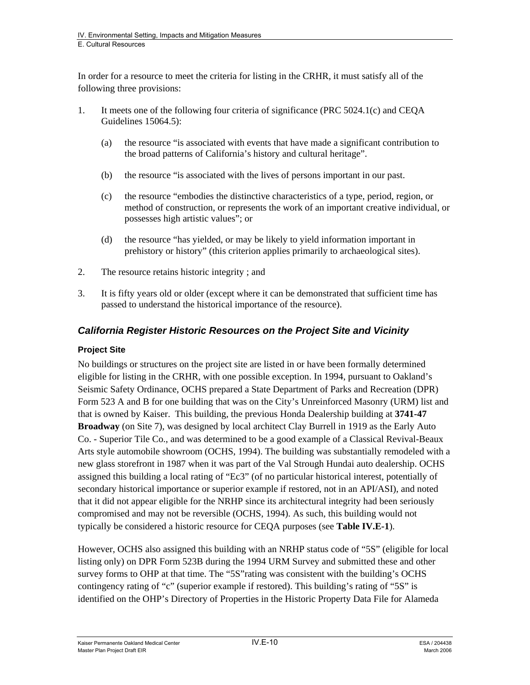In order for a resource to meet the criteria for listing in the CRHR, it must satisfy all of the following three provisions:

- 1. It meets one of the following four criteria of significance (PRC 5024.1(c) and CEQA Guidelines 15064.5):
	- (a) the resource "is associated with events that have made a significant contribution to the broad patterns of California's history and cultural heritage".
	- (b) the resource "is associated with the lives of persons important in our past.
	- (c) the resource "embodies the distinctive characteristics of a type, period, region, or method of construction, or represents the work of an important creative individual, or possesses high artistic values"; or
	- (d) the resource "has yielded, or may be likely to yield information important in prehistory or history" (this criterion applies primarily to archaeological sites).
- 2. The resource retains historic integrity ; and
- 3. It is fifty years old or older (except where it can be demonstrated that sufficient time has passed to understand the historical importance of the resource).

# *California Register Historic Resources on the Project Site and Vicinity*

#### **Project Site**

No buildings or structures on the project site are listed in or have been formally determined eligible for listing in the CRHR, with one possible exception. In 1994, pursuant to Oakland's Seismic Safety Ordinance, OCHS prepared a State Department of Parks and Recreation (DPR) Form 523 A and B for one building that was on the City's Unreinforced Masonry (URM) list and that is owned by Kaiser. This building, the previous Honda Dealership building at **3741-47 Broadway** (on Site 7), was designed by local architect Clay Burrell in 1919 as the Early Auto Co. - Superior Tile Co., and was determined to be a good example of a Classical Revival-Beaux Arts style automobile showroom (OCHS, 1994). The building was substantially remodeled with a new glass storefront in 1987 when it was part of the Val Strough Hundai auto dealership. OCHS assigned this building a local rating of "Ec3" (of no particular historical interest, potentially of secondary historical importance or superior example if restored, not in an API/ASI), and noted that it did not appear eligible for the NRHP since its architectural integrity had been seriously compromised and may not be reversible (OCHS, 1994). As such, this building would not typically be considered a historic resource for CEQA purposes (see **Table IV.E-1**).

However, OCHS also assigned this building with an NRHP status code of "5S" (eligible for local listing only) on DPR Form 523B during the 1994 URM Survey and submitted these and other survey forms to OHP at that time. The "5S"rating was consistent with the building's OCHS contingency rating of "c" (superior example if restored). This building's rating of "5S" is identified on the OHP's Directory of Properties in the Historic Property Data File for Alameda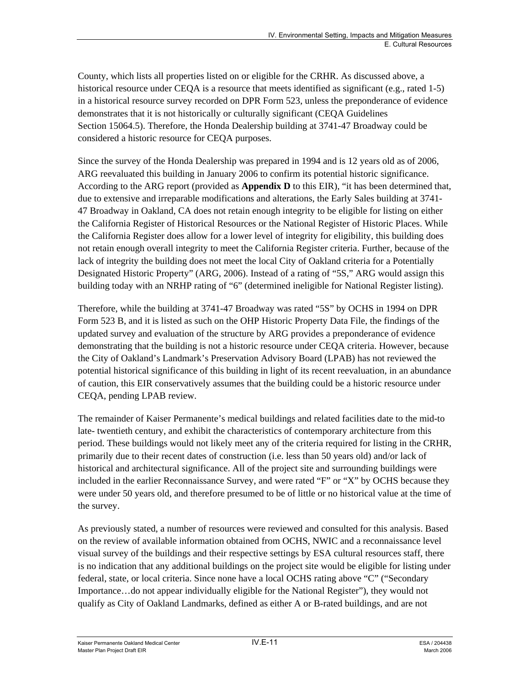County, which lists all properties listed on or eligible for the CRHR. As discussed above, a historical resource under CEOA is a resource that meets identified as significant (e.g., rated 1-5) in a historical resource survey recorded on DPR Form 523, unless the preponderance of evidence demonstrates that it is not historically or culturally significant (CEQA Guidelines Section 15064.5). Therefore, the Honda Dealership building at 3741-47 Broadway could be considered a historic resource for CEQA purposes.

Since the survey of the Honda Dealership was prepared in 1994 and is 12 years old as of 2006, ARG reevaluated this building in January 2006 to confirm its potential historic significance. According to the ARG report (provided as **Appendix D** to this EIR), "it has been determined that, due to extensive and irreparable modifications and alterations, the Early Sales building at 3741- 47 Broadway in Oakland, CA does not retain enough integrity to be eligible for listing on either the California Register of Historical Resources or the National Register of Historic Places. While the California Register does allow for a lower level of integrity for eligibility, this building does not retain enough overall integrity to meet the California Register criteria. Further, because of the lack of integrity the building does not meet the local City of Oakland criteria for a Potentially Designated Historic Property" (ARG, 2006). Instead of a rating of "5S," ARG would assign this building today with an NRHP rating of "6" (determined ineligible for National Register listing).

Therefore, while the building at 3741-47 Broadway was rated "5S" by OCHS in 1994 on DPR Form 523 B, and it is listed as such on the OHP Historic Property Data File, the findings of the updated survey and evaluation of the structure by ARG provides a preponderance of evidence demonstrating that the building is not a historic resource under CEQA criteria. However, because the City of Oakland's Landmark's Preservation Advisory Board (LPAB) has not reviewed the potential historical significance of this building in light of its recent reevaluation, in an abundance of caution, this EIR conservatively assumes that the building could be a historic resource under CEQA, pending LPAB review.

The remainder of Kaiser Permanente's medical buildings and related facilities date to the mid-to late- twentieth century, and exhibit the characteristics of contemporary architecture from this period. These buildings would not likely meet any of the criteria required for listing in the CRHR, primarily due to their recent dates of construction (i.e. less than 50 years old) and/or lack of historical and architectural significance. All of the project site and surrounding buildings were included in the earlier Reconnaissance Survey, and were rated "F" or "X" by OCHS because they were under 50 years old, and therefore presumed to be of little or no historical value at the time of the survey.

As previously stated, a number of resources were reviewed and consulted for this analysis. Based on the review of available information obtained from OCHS, NWIC and a reconnaissance level visual survey of the buildings and their respective settings by ESA cultural resources staff, there is no indication that any additional buildings on the project site would be eligible for listing under federal, state, or local criteria. Since none have a local OCHS rating above "C" ("Secondary Importance…do not appear individually eligible for the National Register"), they would not qualify as City of Oakland Landmarks, defined as either A or B-rated buildings, and are not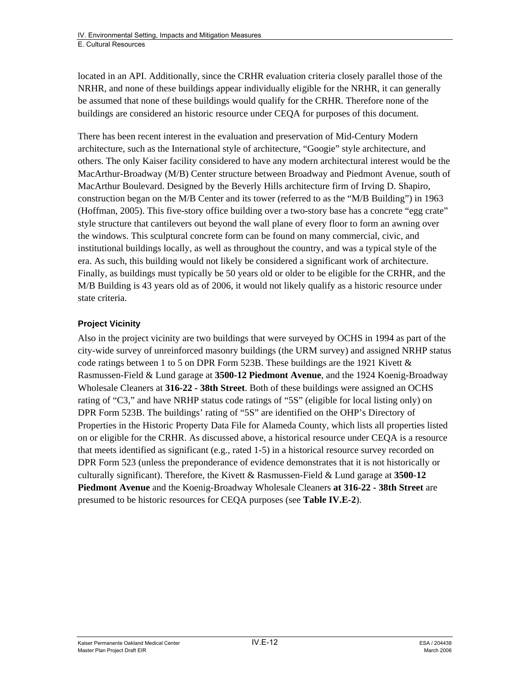located in an API. Additionally, since the CRHR evaluation criteria closely parallel those of the NRHR, and none of these buildings appear individually eligible for the NRHR, it can generally be assumed that none of these buildings would qualify for the CRHR. Therefore none of the buildings are considered an historic resource under CEQA for purposes of this document.

There has been recent interest in the evaluation and preservation of Mid-Century Modern architecture, such as the International style of architecture, "Googie" style architecture, and others. The only Kaiser facility considered to have any modern architectural interest would be the MacArthur-Broadway (M/B) Center structure between Broadway and Piedmont Avenue, south of MacArthur Boulevard. Designed by the Beverly Hills architecture firm of Irving D. Shapiro, construction began on the M/B Center and its tower (referred to as the "M/B Building") in 1963 (Hoffman, 2005). This five-story office building over a two-story base has a concrete "egg crate" style structure that cantilevers out beyond the wall plane of every floor to form an awning over the windows. This sculptural concrete form can be found on many commercial, civic, and institutional buildings locally, as well as throughout the country, and was a typical style of the era. As such, this building would not likely be considered a significant work of architecture. Finally, as buildings must typically be 50 years old or older to be eligible for the CRHR, and the M/B Building is 43 years old as of 2006, it would not likely qualify as a historic resource under state criteria.

### **Project Vicinity**

Also in the project vicinity are two buildings that were surveyed by OCHS in 1994 as part of the city-wide survey of unreinforced masonry buildings (the URM survey) and assigned NRHP status code ratings between 1 to 5 on DPR Form 523B. These buildings are the 1921 Kivett  $\&$ Rasmussen-Field & Lund garage at **3500-12 Piedmont Avenue**, and the 1924 Koenig-Broadway Wholesale Cleaners at **316-22 - 38th Street**. Both of these buildings were assigned an OCHS rating of "C3," and have NRHP status code ratings of "5S" (eligible for local listing only) on DPR Form 523B. The buildings' rating of "5S" are identified on the OHP's Directory of Properties in the Historic Property Data File for Alameda County, which lists all properties listed on or eligible for the CRHR. As discussed above, a historical resource under CEQA is a resource that meets identified as significant (e.g., rated 1-5) in a historical resource survey recorded on DPR Form 523 (unless the preponderance of evidence demonstrates that it is not historically or culturally significant). Therefore, the Kivett & Rasmussen-Field & Lund garage at **3500-12 Piedmont Avenue** and the Koenig-Broadway Wholesale Cleaners **at 316-22 - 38th Street** are presumed to be historic resources for CEQA purposes (see **Table IV.E-2**).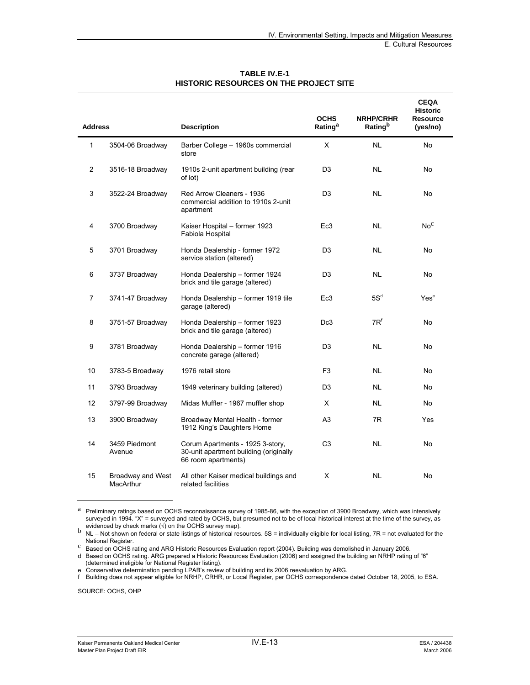| <b>Address</b> |                                | <b>Description</b>                                                                                | <b>OCHS</b><br>Rating <sup>a</sup> | <b>NRHP/CRHR</b><br>Ratingb | <b>CEQA</b><br><b>Historic</b><br><b>Resource</b><br>(yes/no) |
|----------------|--------------------------------|---------------------------------------------------------------------------------------------------|------------------------------------|-----------------------------|---------------------------------------------------------------|
| 1              | 3504-06 Broadway               | Barber College - 1960s commercial<br>store                                                        | X                                  | <b>NL</b>                   | No.                                                           |
| $\overline{2}$ | 3516-18 Broadway               | 1910s 2-unit apartment building (rear<br>of lot)                                                  | D <sub>3</sub>                     | <b>NL</b>                   | No                                                            |
| 3              | 3522-24 Broadway               | Red Arrow Cleaners - 1936<br>commercial addition to 1910s 2-unit<br>apartment                     | D <sub>3</sub>                     | NL.                         | No                                                            |
| 4              | 3700 Broadway                  | Kaiser Hospital - former 1923<br>Fabiola Hospital                                                 | Ec3                                | <b>NL</b>                   | No <sup>C</sup>                                               |
| 5              | 3701 Broadway                  | Honda Dealership - former 1972<br>service station (altered)                                       | D <sub>3</sub>                     | <b>NL</b>                   | No                                                            |
| 6              | 3737 Broadway                  | Honda Dealership - former 1924<br>brick and tile garage (altered)                                 | D <sub>3</sub>                     | <b>NL</b>                   | No                                                            |
| 7              | 3741-47 Broadway               | Honda Dealership - former 1919 tile<br>garage (altered)                                           | Ec3                                | $5S^d$                      | Yes <sup>e</sup>                                              |
| 8              | 3751-57 Broadway               | Honda Dealership - former 1923<br>brick and tile garage (altered)                                 | Dc3                                | $7R^t$                      | No                                                            |
| 9              | 3781 Broadway                  | Honda Dealership - former 1916<br>concrete garage (altered)                                       | D <sub>3</sub>                     | <b>NL</b>                   | No                                                            |
| 10             | 3783-5 Broadway                | 1976 retail store                                                                                 | F <sub>3</sub>                     | <b>NL</b>                   | No                                                            |
| 11             | 3793 Broadway                  | 1949 veterinary building (altered)                                                                | D <sub>3</sub>                     | <b>NL</b>                   | No                                                            |
| 12             | 3797-99 Broadway               | Midas Muffler - 1967 muffler shop                                                                 | X                                  | <b>NL</b>                   | No                                                            |
| 13             | 3900 Broadway                  | Broadway Mental Health - former<br>1912 King's Daughters Home                                     | A <sub>3</sub>                     | 7R                          | Yes                                                           |
| 14             | 3459 Piedmont<br>Avenue        | Corum Apartments - 1925 3-story,<br>30-unit apartment building (originally<br>66 room apartments) | C <sub>3</sub>                     | <b>NL</b>                   | No                                                            |
| 15             | Broadway and West<br>MacArthur | All other Kaiser medical buildings and<br>related facilities                                      | X                                  | <b>NL</b>                   | No                                                            |

#### **TABLE IV.E-1 HISTORIC RESOURCES ON THE PROJECT SITE**

d Based on OCHS rating. ARG prepared a Historic Resources Evaluation (2006) and assigned the building an NRHP rating of "6" (determined ineligible for National Register listing).

SOURCE: OCHS, OHP

a Preliminary ratings based on OCHS reconnaissance survey of 1985-86, with the exception of 3900 Broadway, which was intensively surveyed in 1994. "X" = surveyed and rated by OCHS, but presumed not to be of local historical interest at the time of the survey, as evidenced by check marks  $(\sqrt{ })$  on the OCHS survey map).

evidenced by check marks (√) on the OCHS survey map).<br>
NL – Not shown on federal or state listings of historical resources. 5S = individually eligible for local listing, 7R = not evaluated for the<br>
National Register.

C Based on OCHS rating and ARG Historic Resources Evaluation report (2004). Building was demolished in January 2006.

e Conservative determination pending LPAB's review of building and its 2006 reevaluation by ARG.

f Building does not appear eligible for NRHP, CRHR, or Local Register, per OCHS correspondence dated October 18, 2005, to ESA.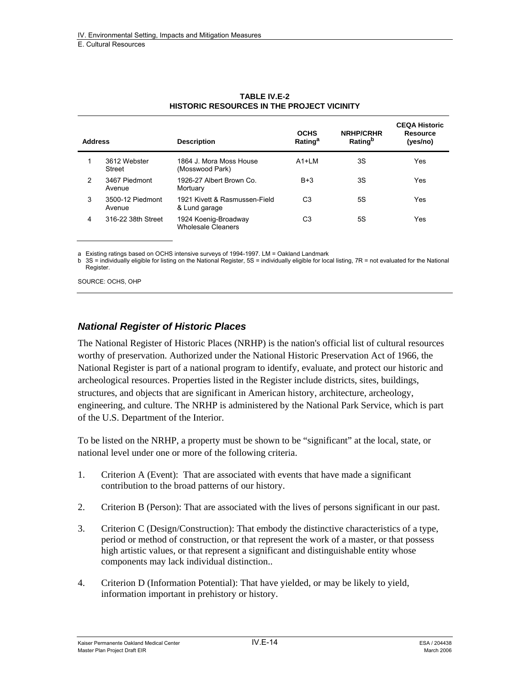| <b>Address</b> |                            | <b>Description</b>                                | <b>OCHS</b><br>Rating <sup>a</sup> | <b>NRHP/CRHR</b><br>Rating <sup>b</sup> | <b>CEQA Historic</b><br><b>Resource</b><br>(yes/no) |
|----------------|----------------------------|---------------------------------------------------|------------------------------------|-----------------------------------------|-----------------------------------------------------|
|                | 3612 Webster<br>Street     | 1864 J Mora Moss House<br>(Mosswood Park)         | $A1+IM$                            | 3S                                      | Yes                                                 |
| $\mathcal{P}$  | 3467 Piedmont<br>Avenue    | 1926-27 Albert Brown Co.<br>Mortuary              | $B+3$                              | 3S                                      | Yes                                                 |
| 3              | 3500-12 Piedmont<br>Avenue | 1921 Kivett & Rasmussen-Field<br>& Lund garage    | C3                                 | 5S                                      | Yes                                                 |
| 4              | 316-22 38th Street         | 1924 Koenig-Broadway<br><b>Wholesale Cleaners</b> | C3                                 | 5S                                      | Yes                                                 |

#### **TABLE IV.E-2 HISTORIC RESOURCES IN THE PROJECT VICINITY**

a Existing ratings based on OCHS intensive surveys of 1994-1997. LM = Oakland Landmark

b 3S = individually eligible for listing on the National Register, 5S = individually eligible for local listing, 7R = not evaluated for the National Register.

SOURCE: OCHS, OHP

#### *National Register of Historic Places*

The National Register of Historic Places (NRHP) is the nation's official list of cultural resources worthy of preservation. Authorized under the National Historic Preservation Act of 1966, the National Register is part of a national program to identify, evaluate, and protect our historic and archeological resources. Properties listed in the Register include districts, sites, buildings, structures, and objects that are significant in American history, architecture, archeology, engineering, and culture. The NRHP is administered by the National Park Service, which is part of the U.S. Department of the Interior.

To be listed on the NRHP, a property must be shown to be "significant" at the local, state, or national level under one or more of the following criteria.

- 1. Criterion A (Event): That are associated with events that have made a significant contribution to the broad patterns of our history.
- 2. Criterion B (Person): That are associated with the lives of persons significant in our past.
- 3. Criterion C (Design/Construction): That embody the distinctive characteristics of a type, period or method of construction, or that represent the work of a master, or that possess high artistic values, or that represent a significant and distinguishable entity whose components may lack individual distinction..
- 4. Criterion D (Information Potential): That have yielded, or may be likely to yield, information important in prehistory or history.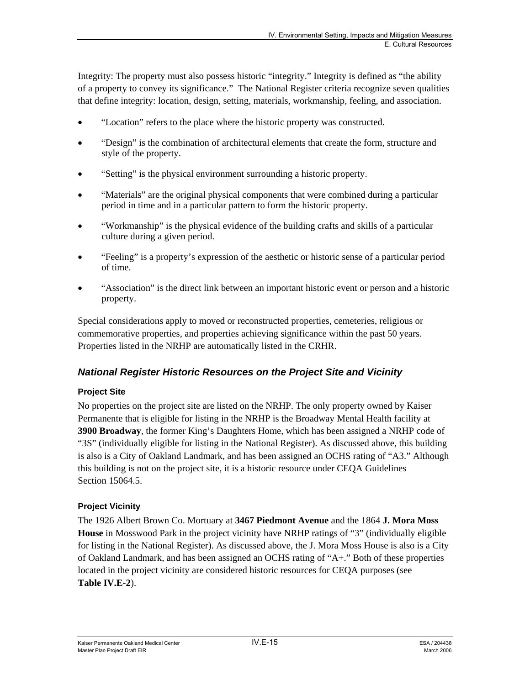Integrity: The property must also possess historic "integrity." Integrity is defined as "the ability of a property to convey its significance." The National Register criteria recognize seven qualities that define integrity: location, design, setting, materials, workmanship, feeling, and association.

- "Location" refers to the place where the historic property was constructed.
- "Design" is the combination of architectural elements that create the form, structure and style of the property.
- "Setting" is the physical environment surrounding a historic property.
- "Materials" are the original physical components that were combined during a particular period in time and in a particular pattern to form the historic property.
- "Workmanship" is the physical evidence of the building crafts and skills of a particular culture during a given period.
- "Feeling" is a property's expression of the aesthetic or historic sense of a particular period of time.
- "Association" is the direct link between an important historic event or person and a historic property.

Special considerations apply to moved or reconstructed properties, cemeteries, religious or commemorative properties, and properties achieving significance within the past 50 years. Properties listed in the NRHP are automatically listed in the CRHR.

## *National Register Historic Resources on the Project Site and Vicinity*

#### **Project Site**

No properties on the project site are listed on the NRHP. The only property owned by Kaiser Permanente that is eligible for listing in the NRHP is the Broadway Mental Health facility at **3900 Broadway**, the former King's Daughters Home, which has been assigned a NRHP code of "3S" (individually eligible for listing in the National Register). As discussed above, this building is also is a City of Oakland Landmark, and has been assigned an OCHS rating of "A3." Although this building is not on the project site, it is a historic resource under CEQA Guidelines Section 15064.5.

## **Project Vicinity**

The 1926 Albert Brown Co. Mortuary at **3467 Piedmont Avenue** and the 1864 **J. Mora Moss House** in Mosswood Park in the project vicinity have NRHP ratings of "3" (individually eligible for listing in the National Register). As discussed above, the J. Mora Moss House is also is a City of Oakland Landmark, and has been assigned an OCHS rating of "A+." Both of these properties located in the project vicinity are considered historic resources for CEQA purposes (see **Table IV.E-2**).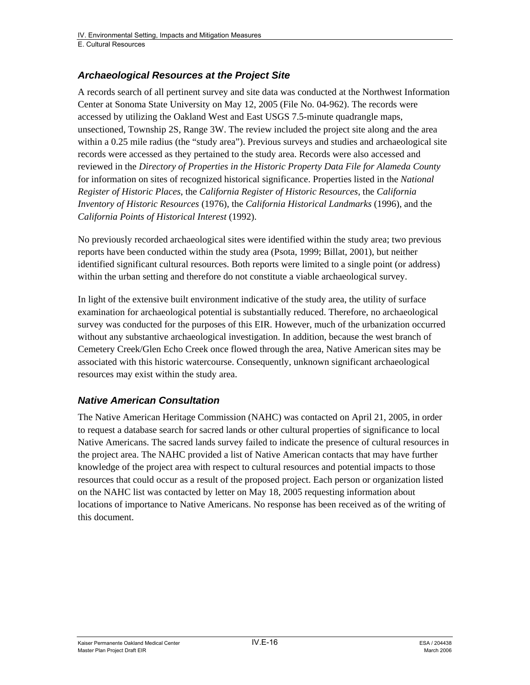### *Archaeological Resources at the Project Site*

A records search of all pertinent survey and site data was conducted at the Northwest Information Center at Sonoma State University on May 12, 2005 (File No. 04-962). The records were accessed by utilizing the Oakland West and East USGS 7.5-minute quadrangle maps, unsectioned, Township 2S, Range 3W. The review included the project site along and the area within a 0.25 mile radius (the "study area"). Previous surveys and studies and archaeological site records were accessed as they pertained to the study area. Records were also accessed and reviewed in the *Directory of Properties in the Historic Property Data File for Alameda County*  for information on sites of recognized historical significance. Properties listed in the *National Register of Historic Places*, the *California Register of Historic Resources*, the *California Inventory of Historic Resources* (1976), the *California Historical Landmarks* (1996), and the *California Points of Historical Interest* (1992).

No previously recorded archaeological sites were identified within the study area; two previous reports have been conducted within the study area (Psota, 1999; Billat, 2001), but neither identified significant cultural resources. Both reports were limited to a single point (or address) within the urban setting and therefore do not constitute a viable archaeological survey.

In light of the extensive built environment indicative of the study area, the utility of surface examination for archaeological potential is substantially reduced. Therefore, no archaeological survey was conducted for the purposes of this EIR. However, much of the urbanization occurred without any substantive archaeological investigation. In addition, because the west branch of Cemetery Creek/Glen Echo Creek once flowed through the area, Native American sites may be associated with this historic watercourse. Consequently, unknown significant archaeological resources may exist within the study area.

#### *Native American Consultation*

The Native American Heritage Commission (NAHC) was contacted on April 21, 2005, in order to request a database search for sacred lands or other cultural properties of significance to local Native Americans. The sacred lands survey failed to indicate the presence of cultural resources in the project area. The NAHC provided a list of Native American contacts that may have further knowledge of the project area with respect to cultural resources and potential impacts to those resources that could occur as a result of the proposed project. Each person or organization listed on the NAHC list was contacted by letter on May 18, 2005 requesting information about locations of importance to Native Americans. No response has been received as of the writing of this document.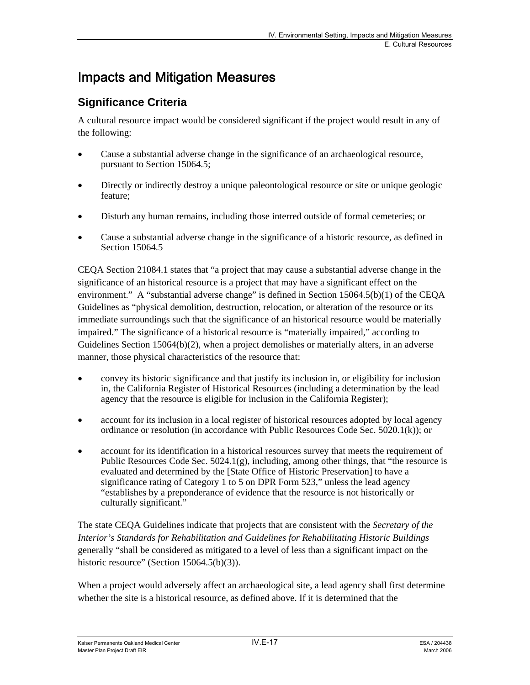# Impacts and Mitigation Measures

# **Significance Criteria**

A cultural resource impact would be considered significant if the project would result in any of the following:

- Cause a substantial adverse change in the significance of an archaeological resource, pursuant to Section 15064.5;
- Directly or indirectly destroy a unique paleontological resource or site or unique geologic feature;
- Disturb any human remains, including those interred outside of formal cemeteries; or
- Cause a substantial adverse change in the significance of a historic resource, as defined in Section 15064.5

CEQA Section 21084.1 states that "a project that may cause a substantial adverse change in the significance of an historical resource is a project that may have a significant effect on the environment." A "substantial adverse change" is defined in Section 15064.5(b)(1) of the CEQA Guidelines as "physical demolition, destruction, relocation, or alteration of the resource or its immediate surroundings such that the significance of an historical resource would be materially impaired." The significance of a historical resource is "materially impaired," according to Guidelines Section 15064(b)(2), when a project demolishes or materially alters, in an adverse manner, those physical characteristics of the resource that:

- convey its historic significance and that justify its inclusion in, or eligibility for inclusion in, the California Register of Historical Resources (including a determination by the lead agency that the resource is eligible for inclusion in the California Register);
- account for its inclusion in a local register of historical resources adopted by local agency ordinance or resolution (in accordance with Public Resources Code Sec. 5020.1(k)); or
- account for its identification in a historical resources survey that meets the requirement of Public Resources Code Sec.  $5024.1(g)$ , including, among other things, that "the resource is evaluated and determined by the [State Office of Historic Preservation] to have a significance rating of Category 1 to 5 on DPR Form 523," unless the lead agency "establishes by a preponderance of evidence that the resource is not historically or culturally significant."

The state CEQA Guidelines indicate that projects that are consistent with the *Secretary of the Interior's Standards for Rehabilitation and Guidelines for Rehabilitating Historic Buildings* generally "shall be considered as mitigated to a level of less than a significant impact on the historic resource" (Section 15064.5(b)(3)).

When a project would adversely affect an archaeological site, a lead agency shall first determine whether the site is a historical resource, as defined above. If it is determined that the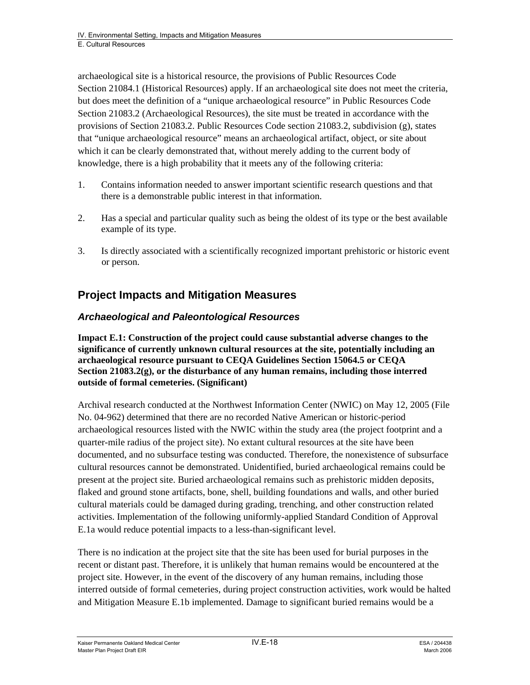archaeological site is a historical resource, the provisions of Public Resources Code Section 21084.1 (Historical Resources) apply. If an archaeological site does not meet the criteria, but does meet the definition of a "unique archaeological resource" in Public Resources Code Section 21083.2 (Archaeological Resources), the site must be treated in accordance with the provisions of Section 21083.2. Public Resources Code section 21083.2, subdivision (g), states that "unique archaeological resource" means an archaeological artifact, object, or site about which it can be clearly demonstrated that, without merely adding to the current body of knowledge, there is a high probability that it meets any of the following criteria:

- 1. Contains information needed to answer important scientific research questions and that there is a demonstrable public interest in that information.
- 2. Has a special and particular quality such as being the oldest of its type or the best available example of its type.
- 3. Is directly associated with a scientifically recognized important prehistoric or historic event or person.

# **Project Impacts and Mitigation Measures**

# *Archaeological and Paleontological Resources*

**Impact E.1: Construction of the project could cause substantial adverse changes to the significance of currently unknown cultural resources at the site, potentially including an archaeological resource pursuant to CEQA Guidelines Section 15064.5 or CEQA Section 21083.2(g), or the disturbance of any human remains, including those interred outside of formal cemeteries. (Significant)** 

Archival research conducted at the Northwest Information Center (NWIC) on May 12, 2005 (File No. 04-962) determined that there are no recorded Native American or historic-period archaeological resources listed with the NWIC within the study area (the project footprint and a quarter-mile radius of the project site). No extant cultural resources at the site have been documented, and no subsurface testing was conducted. Therefore, the nonexistence of subsurface cultural resources cannot be demonstrated. Unidentified, buried archaeological remains could be present at the project site. Buried archaeological remains such as prehistoric midden deposits, flaked and ground stone artifacts, bone, shell, building foundations and walls, and other buried cultural materials could be damaged during grading, trenching, and other construction related activities. Implementation of the following uniformly-applied Standard Condition of Approval E.1a would reduce potential impacts to a less-than-significant level.

There is no indication at the project site that the site has been used for burial purposes in the recent or distant past. Therefore, it is unlikely that human remains would be encountered at the project site. However, in the event of the discovery of any human remains, including those interred outside of formal cemeteries, during project construction activities, work would be halted and Mitigation Measure E.1b implemented. Damage to significant buried remains would be a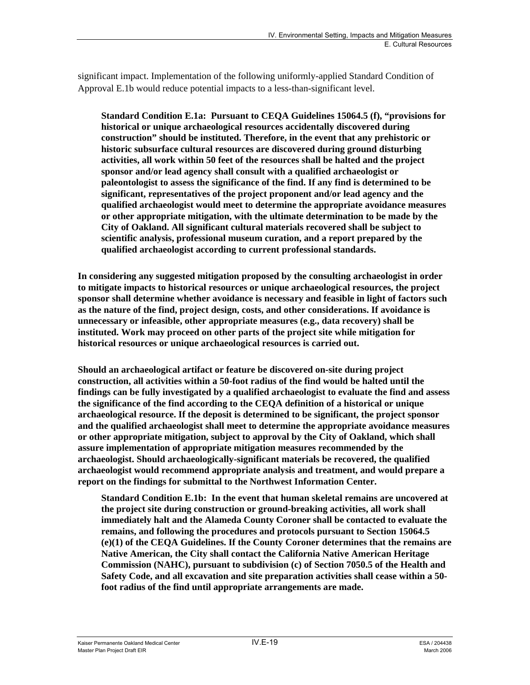significant impact. Implementation of the following uniformly-applied Standard Condition of Approval E.1b would reduce potential impacts to a less-than-significant level.

**Standard Condition E.1a: Pursuant to CEQA Guidelines 15064.5 (f), "provisions for historical or unique archaeological resources accidentally discovered during construction" should be instituted. Therefore, in the event that any prehistoric or historic subsurface cultural resources are discovered during ground disturbing activities, all work within 50 feet of the resources shall be halted and the project sponsor and/or lead agency shall consult with a qualified archaeologist or paleontologist to assess the significance of the find. If any find is determined to be significant, representatives of the project proponent and/or lead agency and the qualified archaeologist would meet to determine the appropriate avoidance measures or other appropriate mitigation, with the ultimate determination to be made by the City of Oakland. All significant cultural materials recovered shall be subject to scientific analysis, professional museum curation, and a report prepared by the qualified archaeologist according to current professional standards.** 

**In considering any suggested mitigation proposed by the consulting archaeologist in order to mitigate impacts to historical resources or unique archaeological resources, the project sponsor shall determine whether avoidance is necessary and feasible in light of factors such as the nature of the find, project design, costs, and other considerations. If avoidance is unnecessary or infeasible, other appropriate measures (e.g., data recovery) shall be instituted. Work may proceed on other parts of the project site while mitigation for historical resources or unique archaeological resources is carried out.** 

**Should an archaeological artifact or feature be discovered on-site during project construction, all activities within a 50-foot radius of the find would be halted until the findings can be fully investigated by a qualified archaeologist to evaluate the find and assess the significance of the find according to the CEQA definition of a historical or unique archaeological resource. If the deposit is determined to be significant, the project sponsor and the qualified archaeologist shall meet to determine the appropriate avoidance measures or other appropriate mitigation, subject to approval by the City of Oakland, which shall assure implementation of appropriate mitigation measures recommended by the archaeologist. Should archaeologically-significant materials be recovered, the qualified archaeologist would recommend appropriate analysis and treatment, and would prepare a report on the findings for submittal to the Northwest Information Center.** 

**Standard Condition E.1b: In the event that human skeletal remains are uncovered at the project site during construction or ground-breaking activities, all work shall immediately halt and the Alameda County Coroner shall be contacted to evaluate the remains, and following the procedures and protocols pursuant to Section 15064.5 (e)(1) of the CEQA Guidelines. If the County Coroner determines that the remains are Native American, the City shall contact the California Native American Heritage Commission (NAHC), pursuant to subdivision (c) of Section 7050.5 of the Health and Safety Code, and all excavation and site preparation activities shall cease within a 50 foot radius of the find until appropriate arrangements are made.**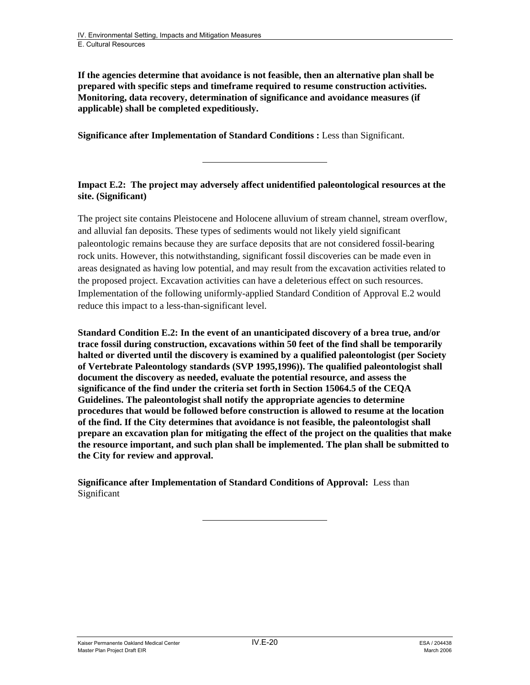**If the agencies determine that avoidance is not feasible, then an alternative plan shall be prepared with specific steps and timeframe required to resume construction activities. Monitoring, data recovery, determination of significance and avoidance measures (if applicable) shall be completed expeditiously.** 

**Significance after Implementation of Standard Conditions : Less than Significant.** 

**Impact E.2: The project may adversely affect unidentified paleontological resources at the site. (Significant)** 

The project site contains Pleistocene and Holocene alluvium of stream channel, stream overflow, and alluvial fan deposits. These types of sediments would not likely yield significant paleontologic remains because they are surface deposits that are not considered fossil-bearing rock units. However, this notwithstanding, significant fossil discoveries can be made even in areas designated as having low potential, and may result from the excavation activities related to the proposed project. Excavation activities can have a deleterious effect on such resources. Implementation of the following uniformly-applied Standard Condition of Approval E.2 would reduce this impact to a less-than-significant level.

**Standard Condition E.2: In the event of an unanticipated discovery of a brea true, and/or trace fossil during construction, excavations within 50 feet of the find shall be temporarily halted or diverted until the discovery is examined by a qualified paleontologist (per Society of Vertebrate Paleontology standards (SVP 1995,1996)). The qualified paleontologist shall document the discovery as needed, evaluate the potential resource, and assess the significance of the find under the criteria set forth in Section 15064.5 of the CEQA Guidelines. The paleontologist shall notify the appropriate agencies to determine procedures that would be followed before construction is allowed to resume at the location of the find. If the City determines that avoidance is not feasible, the paleontologist shall prepare an excavation plan for mitigating the effect of the project on the qualities that make the resource important, and such plan shall be implemented. The plan shall be submitted to the City for review and approval.** 

**Significance after Implementation of Standard Conditions of Approval:** Less than Significant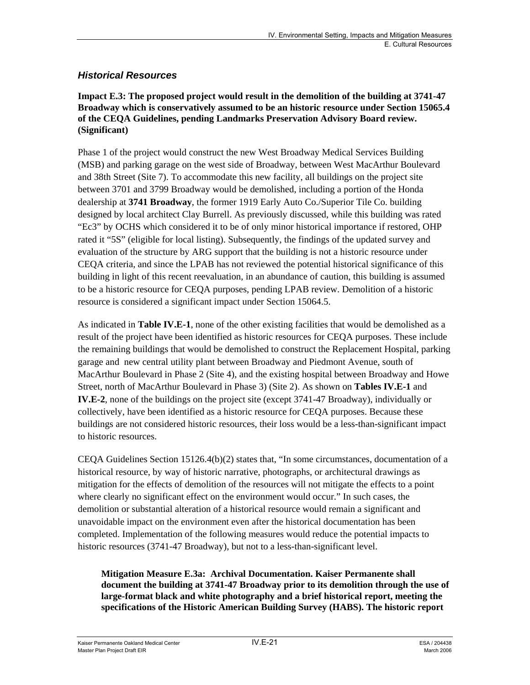#### *Historical Resources*

#### **Impact E.3: The proposed project would result in the demolition of the building at 3741-47 Broadway which is conservatively assumed to be an historic resource under Section 15065.4 of the CEQA Guidelines, pending Landmarks Preservation Advisory Board review. (Significant)**

Phase 1 of the project would construct the new West Broadway Medical Services Building (MSB) and parking garage on the west side of Broadway, between West MacArthur Boulevard and 38th Street (Site 7). To accommodate this new facility, all buildings on the project site between 3701 and 3799 Broadway would be demolished, including a portion of the Honda dealership at **3741 Broadway**, the former 1919 Early Auto Co./Superior Tile Co. building designed by local architect Clay Burrell. As previously discussed, while this building was rated "Ec3" by OCHS which considered it to be of only minor historical importance if restored, OHP rated it "5S" (eligible for local listing). Subsequently, the findings of the updated survey and evaluation of the structure by ARG support that the building is not a historic resource under CEQA criteria, and since the LPAB has not reviewed the potential historical significance of this building in light of this recent reevaluation, in an abundance of caution, this building is assumed to be a historic resource for CEQA purposes, pending LPAB review. Demolition of a historic resource is considered a significant impact under Section 15064.5.

As indicated in **Table IV.E-1**, none of the other existing facilities that would be demolished as a result of the project have been identified as historic resources for CEQA purposes. These include the remaining buildings that would be demolished to construct the Replacement Hospital, parking garage and new central utility plant between Broadway and Piedmont Avenue, south of MacArthur Boulevard in Phase 2 (Site 4), and the existing hospital between Broadway and Howe Street, north of MacArthur Boulevard in Phase 3) (Site 2). As shown on **Tables IV.E-1** and **IV.E-2**, none of the buildings on the project site (except 3741-47 Broadway), individually or collectively, have been identified as a historic resource for CEQA purposes. Because these buildings are not considered historic resources, their loss would be a less-than-significant impact to historic resources.

CEQA Guidelines Section 15126.4(b)(2) states that, "In some circumstances, documentation of a historical resource, by way of historic narrative, photographs, or architectural drawings as mitigation for the effects of demolition of the resources will not mitigate the effects to a point where clearly no significant effect on the environment would occur." In such cases, the demolition or substantial alteration of a historical resource would remain a significant and unavoidable impact on the environment even after the historical documentation has been completed. Implementation of the following measures would reduce the potential impacts to historic resources (3741-47 Broadway), but not to a less-than-significant level.

#### **Mitigation Measure E.3a: Archival Documentation. Kaiser Permanente shall document the building at 3741-47 Broadway prior to its demolition through the use of large-format black and white photography and a brief historical report, meeting the specifications of the Historic American Building Survey (HABS). The historic report**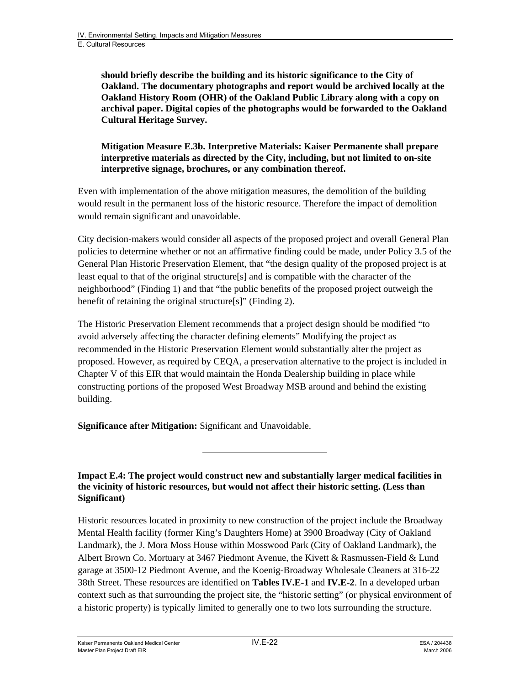**should briefly describe the building and its historic significance to the City of Oakland. The documentary photographs and report would be archived locally at the Oakland History Room (OHR) of the Oakland Public Library along with a copy on archival paper. Digital copies of the photographs would be forwarded to the Oakland Cultural Heritage Survey.** 

#### **Mitigation Measure E.3b. Interpretive Materials: Kaiser Permanente shall prepare interpretive materials as directed by the City, including, but not limited to on-site interpretive signage, brochures, or any combination thereof.**

Even with implementation of the above mitigation measures, the demolition of the building would result in the permanent loss of the historic resource. Therefore the impact of demolition would remain significant and unavoidable.

City decision-makers would consider all aspects of the proposed project and overall General Plan policies to determine whether or not an affirmative finding could be made, under Policy 3.5 of the General Plan Historic Preservation Element, that "the design quality of the proposed project is at least equal to that of the original structure[s] and is compatible with the character of the neighborhood" (Finding 1) and that "the public benefits of the proposed project outweigh the benefit of retaining the original structure[s]" (Finding 2).

The Historic Preservation Element recommends that a project design should be modified "to avoid adversely affecting the character defining elements" Modifying the project as recommended in the Historic Preservation Element would substantially alter the project as proposed. However, as required by CEQA, a preservation alternative to the project is included in Chapter V of this EIR that would maintain the Honda Dealership building in place while constructing portions of the proposed West Broadway MSB around and behind the existing building.

**Significance after Mitigation:** Significant and Unavoidable.

**Impact E.4: The project would construct new and substantially larger medical facilities in the vicinity of historic resources, but would not affect their historic setting. (Less than Significant)** 

Historic resources located in proximity to new construction of the project include the Broadway Mental Health facility (former King's Daughters Home) at 3900 Broadway (City of Oakland Landmark), the J. Mora Moss House within Mosswood Park (City of Oakland Landmark), the Albert Brown Co. Mortuary at 3467 Piedmont Avenue, the Kivett & Rasmussen-Field & Lund garage at 3500-12 Piedmont Avenue, and the Koenig-Broadway Wholesale Cleaners at 316-22 38th Street. These resources are identified on **Tables IV.E-1** and **IV.E-2**. In a developed urban context such as that surrounding the project site, the "historic setting" (or physical environment of a historic property) is typically limited to generally one to two lots surrounding the structure.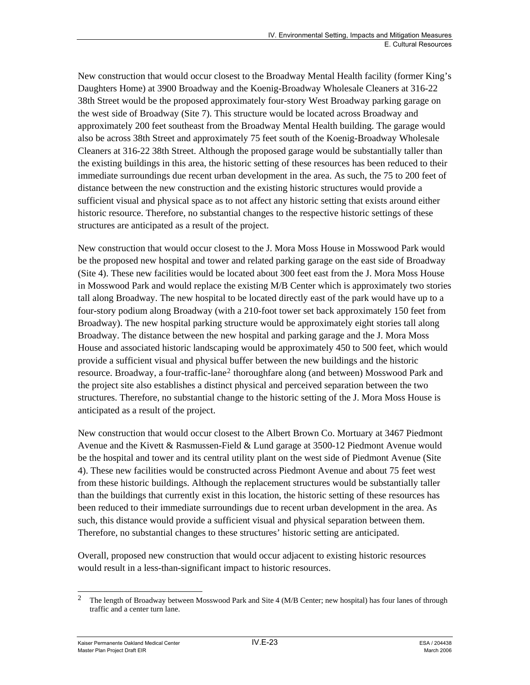New construction that would occur closest to the Broadway Mental Health facility (former King's Daughters Home) at 3900 Broadway and the Koenig-Broadway Wholesale Cleaners at 316-22 38th Street would be the proposed approximately four-story West Broadway parking garage on the west side of Broadway (Site 7). This structure would be located across Broadway and approximately 200 feet southeast from the Broadway Mental Health building. The garage would also be across 38th Street and approximately 75 feet south of the Koenig-Broadway Wholesale Cleaners at 316-22 38th Street. Although the proposed garage would be substantially taller than the existing buildings in this area, the historic setting of these resources has been reduced to their immediate surroundings due recent urban development in the area. As such, the 75 to 200 feet of distance between the new construction and the existing historic structures would provide a sufficient visual and physical space as to not affect any historic setting that exists around either historic resource. Therefore, no substantial changes to the respective historic settings of these structures are anticipated as a result of the project.

New construction that would occur closest to the J. Mora Moss House in Mosswood Park would be the proposed new hospital and tower and related parking garage on the east side of Broadway (Site 4). These new facilities would be located about 300 feet east from the J. Mora Moss House in Mosswood Park and would replace the existing M/B Center which is approximately two stories tall along Broadway. The new hospital to be located directly east of the park would have up to a four-story podium along Broadway (with a 210-foot tower set back approximately 150 feet from Broadway). The new hospital parking structure would be approximately eight stories tall along Broadway. The distance between the new hospital and parking garage and the J. Mora Moss House and associated historic landscaping would be approximately 450 to 500 feet, which would provide a sufficient visual and physical buffer between the new buildings and the historic resource. Broadway, a four-traffic-lane[2](#page-22-0) thoroughfare along (and between) Mosswood Park and the project site also establishes a distinct physical and perceived separation between the two structures. Therefore, no substantial change to the historic setting of the J. Mora Moss House is anticipated as a result of the project.

New construction that would occur closest to the Albert Brown Co. Mortuary at 3467 Piedmont Avenue and the Kivett & Rasmussen-Field & Lund garage at 3500-12 Piedmont Avenue would be the hospital and tower and its central utility plant on the west side of Piedmont Avenue (Site 4). These new facilities would be constructed across Piedmont Avenue and about 75 feet west from these historic buildings. Although the replacement structures would be substantially taller than the buildings that currently exist in this location, the historic setting of these resources has been reduced to their immediate surroundings due to recent urban development in the area. As such, this distance would provide a sufficient visual and physical separation between them. Therefore, no substantial changes to these structures' historic setting are anticipated.

Overall, proposed new construction that would occur adjacent to existing historic resources would result in a less-than-significant impact to historic resources.

<span id="page-22-0"></span>l 2 The length of Broadway between Mosswood Park and Site 4 (M/B Center; new hospital) has four lanes of through traffic and a center turn lane.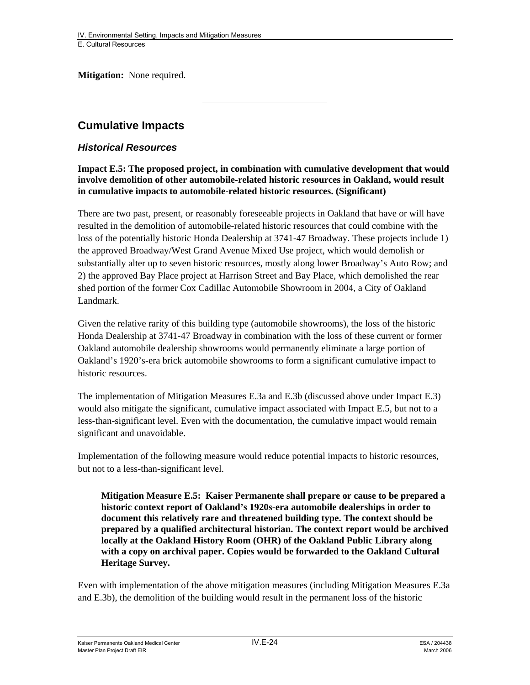**Mitigation:** None required.

# **Cumulative Impacts**

#### *Historical Resources*

**Impact E.5: The proposed project, in combination with cumulative development that would involve demolition of other automobile-related historic resources in Oakland, would result in cumulative impacts to automobile-related historic resources. (Significant)** 

There are two past, present, or reasonably foreseeable projects in Oakland that have or will have resulted in the demolition of automobile-related historic resources that could combine with the loss of the potentially historic Honda Dealership at 3741-47 Broadway. These projects include 1) the approved Broadway/West Grand Avenue Mixed Use project, which would demolish or substantially alter up to seven historic resources, mostly along lower Broadway's Auto Row; and 2) the approved Bay Place project at Harrison Street and Bay Place, which demolished the rear shed portion of the former Cox Cadillac Automobile Showroom in 2004, a City of Oakland Landmark.

Given the relative rarity of this building type (automobile showrooms), the loss of the historic Honda Dealership at 3741-47 Broadway in combination with the loss of these current or former Oakland automobile dealership showrooms would permanently eliminate a large portion of Oakland's 1920's-era brick automobile showrooms to form a significant cumulative impact to historic resources.

The implementation of Mitigation Measures E.3a and E.3b (discussed above under Impact E.3) would also mitigate the significant, cumulative impact associated with Impact E.5, but not to a less-than-significant level. Even with the documentation, the cumulative impact would remain significant and unavoidable.

Implementation of the following measure would reduce potential impacts to historic resources, but not to a less-than-significant level.

**Mitigation Measure E.5: Kaiser Permanente shall prepare or cause to be prepared a historic context report of Oakland's 1920s-era automobile dealerships in order to document this relatively rare and threatened building type. The context should be prepared by a qualified architectural historian. The context report would be archived locally at the Oakland History Room (OHR) of the Oakland Public Library along with a copy on archival paper. Copies would be forwarded to the Oakland Cultural Heritage Survey.** 

Even with implementation of the above mitigation measures (including Mitigation Measures E.3a and E.3b), the demolition of the building would result in the permanent loss of the historic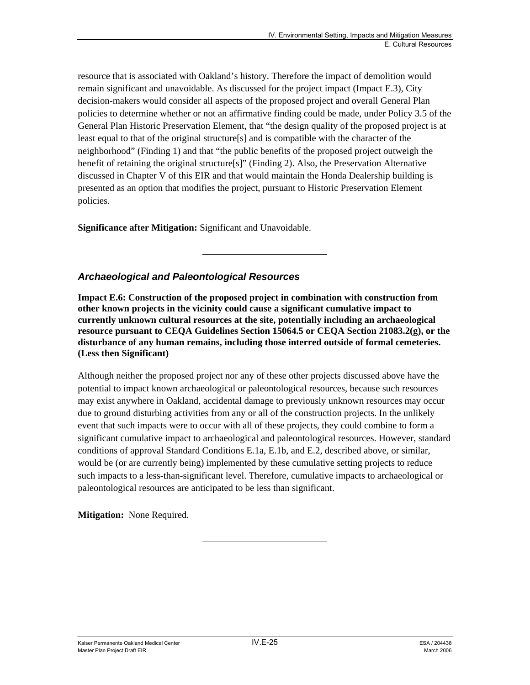resource that is associated with Oakland's history. Therefore the impact of demolition would remain significant and unavoidable. As discussed for the project impact (Impact E.3), City decision-makers would consider all aspects of the proposed project and overall General Plan policies to determine whether or not an affirmative finding could be made, under Policy 3.5 of the General Plan Historic Preservation Element, that "the design quality of the proposed project is at least equal to that of the original structure[s] and is compatible with the character of the neighborhood" (Finding 1) and that "the public benefits of the proposed project outweigh the benefit of retaining the original structure $[s]$ " (Finding 2). Also, the Preservation Alternative discussed in Chapter V of this EIR and that would maintain the Honda Dealership building is presented as an option that modifies the project, pursuant to Historic Preservation Element policies.

**Significance after Mitigation:** Significant and Unavoidable.

### *Archaeological and Paleontological Resources*

**Impact E.6: Construction of the proposed project in combination with construction from other known projects in the vicinity could cause a significant cumulative impact to currently unknown cultural resources at the site, potentially including an archaeological resource pursuant to CEQA Guidelines Section 15064.5 or CEQA Section 21083.2(g), or the disturbance of any human remains, including those interred outside of formal cemeteries. (Less then Significant)** 

Although neither the proposed project nor any of these other projects discussed above have the potential to impact known archaeological or paleontological resources, because such resources may exist anywhere in Oakland, accidental damage to previously unknown resources may occur due to ground disturbing activities from any or all of the construction projects. In the unlikely event that such impacts were to occur with all of these projects, they could combine to form a significant cumulative impact to archaeological and paleontological resources. However, standard conditions of approval Standard Conditions E.1a, E.1b, and E.2, described above, or similar, would be (or are currently being) implemented by these cumulative setting projects to reduce such impacts to a less-than-significant level. Therefore, cumulative impacts to archaeological or paleontological resources are anticipated to be less than significant.

**Mitigation:** None Required.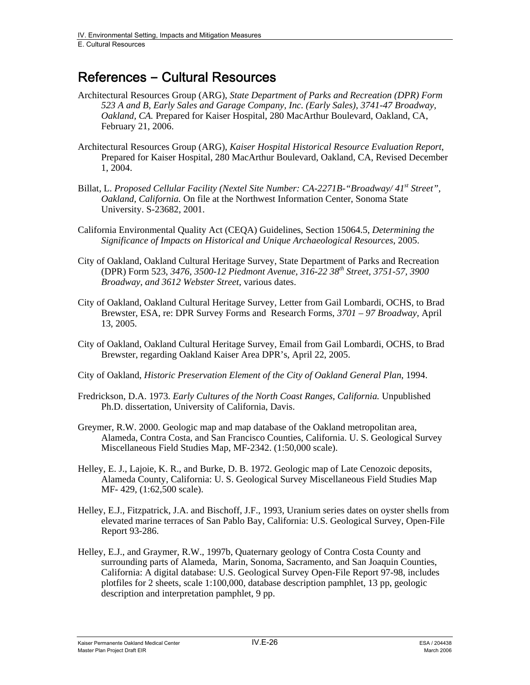# References **–** Cultural Resources

- Architectural Resources Group (ARG), *State Department of Parks and Recreation (DPR) Form 523 A and B, Early Sales and Garage Company, Inc. (Early Sales), 3741-47 Broadway, Oakland, CA.* Prepared for Kaiser Hospital, 280 MacArthur Boulevard, Oakland, CA, February 21, 2006.
- Architectural Resources Group (ARG), *Kaiser Hospital Historical Resource Evaluation Report*, Prepared for Kaiser Hospital, 280 MacArthur Boulevard, Oakland, CA, Revised December 1, 2004.
- Billat, L. *Proposed Cellular Facility (Nextel Site Number: CA-2271B-"Broadway/ 41<sup>st</sup> Street", Oakland, California.* On file at the Northwest Information Center, Sonoma State University. S-23682, 2001.
- California Environmental Quality Act (CEQA) Guidelines, Section 15064.5, *Determining the Significance of Impacts on Historical and Unique Archaeological Resources*, 2005.
- City of Oakland, Oakland Cultural Heritage Survey, State Department of Parks and Recreation (DPR) Form 523, *3476, 3500-12 Piedmont Avenue, 316-22 38th Street, 3751-57, 3900 Broadway, and 3612 Webster Street*, various dates.
- City of Oakland, Oakland Cultural Heritage Survey, Letter from Gail Lombardi, OCHS, to Brad Brewster, ESA, re: DPR Survey Forms and Research Forms, *3701 – 97 Broadway,* April 13, 2005.
- City of Oakland, Oakland Cultural Heritage Survey, Email from Gail Lombardi, OCHS, to Brad Brewster, regarding Oakland Kaiser Area DPR's, April 22, 2005.
- City of Oakland, *Historic Preservation Element of the City of Oakland General Plan*, 1994.
- Fredrickson, D.A. 1973. *Early Cultures of the North Coast Ranges, California.* Unpublished Ph.D. dissertation, University of California, Davis.
- Greymer, R.W. 2000. Geologic map and map database of the Oakland metropolitan area, Alameda, Contra Costa, and San Francisco Counties, California. U. S. Geological Survey Miscellaneous Field Studies Map, MF-2342. (1:50,000 scale).
- Helley, E. J., Lajoie, K. R., and Burke, D. B. 1972. Geologic map of Late Cenozoic deposits, Alameda County, California: U. S. Geological Survey Miscellaneous Field Studies Map MF- 429, (1:62,500 scale).
- Helley, E.J., Fitzpatrick, J.A. and Bischoff, J.F., 1993, Uranium series dates on oyster shells from elevated marine terraces of San Pablo Bay, California: U.S. Geological Survey, Open-File Report 93-286.
- Helley, E.J., and Graymer, R.W., 1997b, Quaternary geology of Contra Costa County and surrounding parts of Alameda, Marin, Sonoma, Sacramento, and San Joaquin Counties, California: A digital database: U.S. Geological Survey Open-File Report 97-98, includes plotfiles for 2 sheets, scale 1:100,000, database description pamphlet, 13 pp, geologic description and interpretation pamphlet, 9 pp.